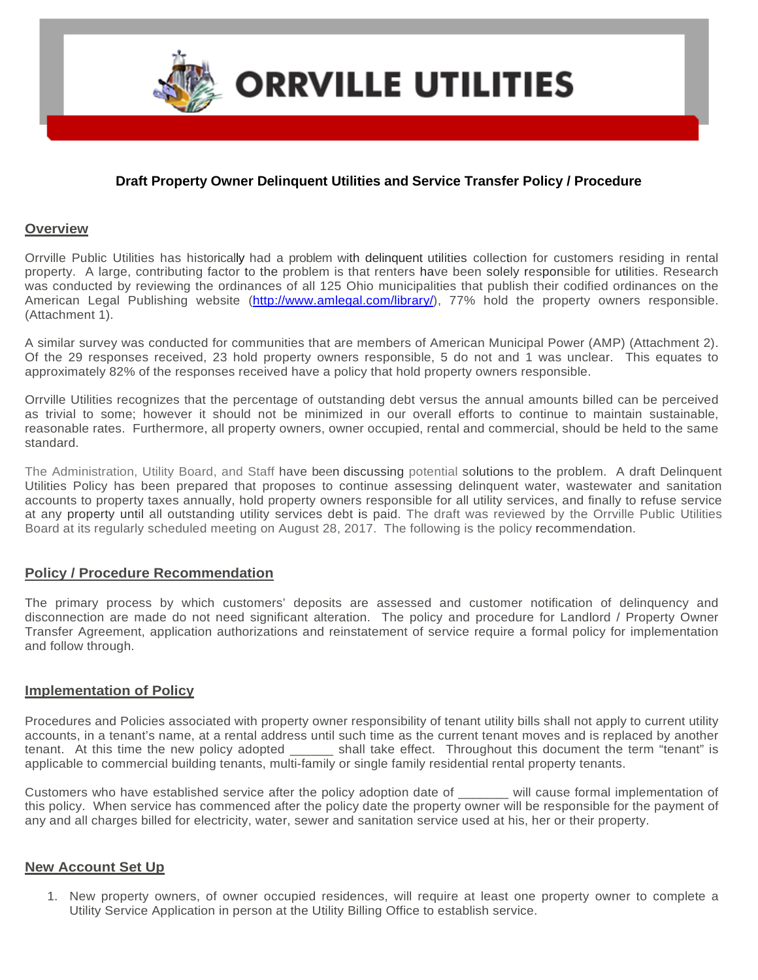

## **Draft Property Owner Delinquent Utilities and Service Transfer Policy / Procedure**

## **Overview**

Orrville Public Utilities has historically had a problem with delinquent utilities collection for customers residing in rental property. A large, contributing factor to the problem is that renters have been solely responsible for utilities. Research was conducted by reviewing the ordinances of all 125 Ohio municipalities that publish their codified ordinances on the American Legal Publishing website [\(http://www.amlegal.com/library/\)](http://www.amlegal.com/library/), 77% hold the property owners responsible. (Attachment 1).

A similar survey was conducted for communities that are members of American Municipal Power (AMP) (Attachment 2). Of the 29 responses received, 23 hold property owners responsible, 5 do not and 1 was unclear. This equates to approximately 82% of the responses received have a policy that hold property owners responsible.

Orrville Utilities recognizes that the percentage of outstanding debt versus the annual amounts billed can be perceived as trivial to some; however it should not be minimized in our overall efforts to continue to maintain sustainable, reasonable rates. Furthermore, all property owners, owner occupied, rental and commercial, should be held to the same standard.

The Administration, Utility Board, and Staff have been discussing potential solutions to the problem. A draft Delinquent Utilities Policy has been prepared that proposes to continue assessing delinquent water, wastewater and sanitation accounts to property taxes annually, hold property owners responsible for all utility services, and finally to refuse service at any property until all outstanding utility services debt is paid. The draft was reviewed by the Orrville Public Utilities Board at its regularly scheduled meeting on August 28, 2017. The following is the policy recommendation.

## **Policy / Procedure Recommendation**

The primary process by which customers' deposits are assessed and customer notification of delinquency and disconnection are made do not need significant alteration. The policy and procedure for Landlord / Property Owner Transfer Agreement, application authorizations and reinstatement of service require a formal policy for implementation and follow through.

## **Implementation of Policy**

Procedures and Policies associated with property owner responsibility of tenant utility bills shall not apply to current utility accounts, in a tenant's name, at a rental address until such time as the current tenant moves and is replaced by another tenant. At this time the new policy adopted \_\_\_\_\_\_ shall take effect. Throughout this document the term "tenant" is applicable to commercial building tenants, multi-family or single family residential rental property tenants.

Customers who have established service after the policy adoption date of \_\_\_\_\_\_\_ will cause formal implementation of this policy. When service has commenced after the policy date the property owner will be responsible for the payment of any and all charges billed for electricity, water, sewer and sanitation service used at his, her or their property.

## **New Account Set Up**

1. New property owners, of owner occupied residences, will require at least one property owner to complete a Utility Service Application in person at the Utility Billing Office to establish service.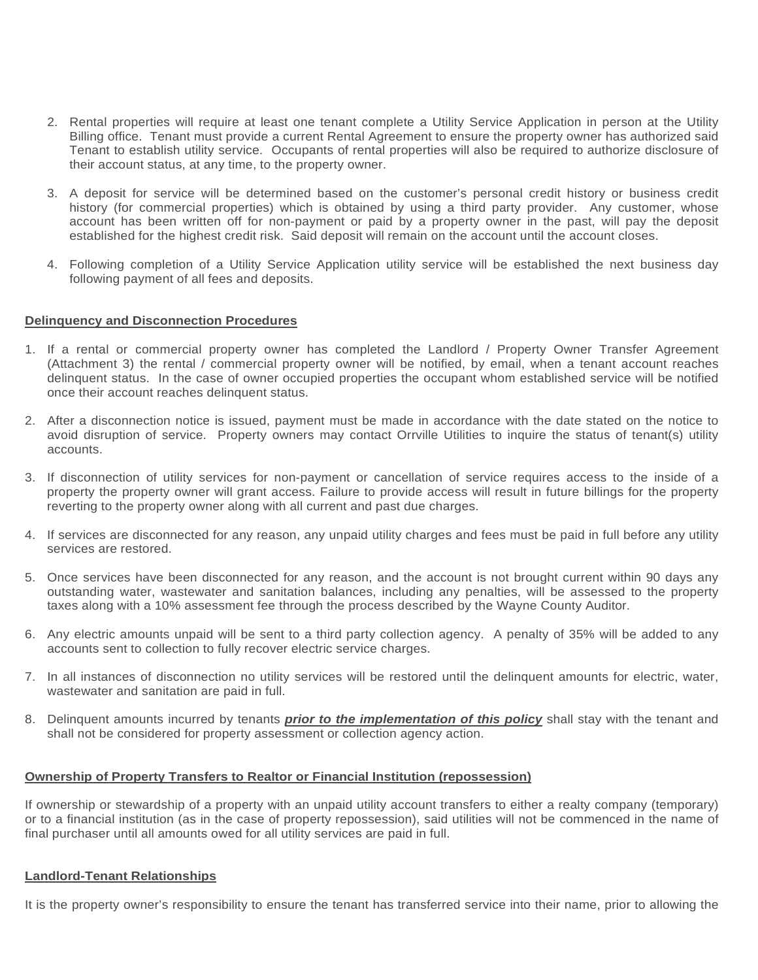- 2. Rental properties will require at least one tenant complete a Utility Service Application in person at the Utility Billing office. Tenant must provide a current Rental Agreement to ensure the property owner has authorized said Tenant to establish utility service. Occupants of rental properties will also be required to authorize disclosure of their account status, at any time, to the property owner.
- 3. A deposit for service will be determined based on the customer's personal credit history or business credit history (for commercial properties) which is obtained by using a third party provider. Any customer, whose account has been written off for non-payment or paid by a property owner in the past, will pay the deposit established for the highest credit risk. Said deposit will remain on the account until the account closes.
- 4. Following completion of a Utility Service Application utility service will be established the next business day following payment of all fees and deposits.

## **Delinquency and Disconnection Procedures**

- 1. If a rental or commercial property owner has completed the Landlord / Property Owner Transfer Agreement (Attachment 3) the rental / commercial property owner will be notified, by email, when a tenant account reaches delinquent status. In the case of owner occupied properties the occupant whom established service will be notified once their account reaches delinquent status.
- 2. After a disconnection notice is issued, payment must be made in accordance with the date stated on the notice to avoid disruption of service. Property owners may contact Orrville Utilities to inquire the status of tenant(s) utility accounts.
- 3. If disconnection of utility services for non-payment or cancellation of service requires access to the inside of a property the property owner will grant access. Failure to provide access will result in future billings for the property reverting to the property owner along with all current and past due charges.
- 4. If services are disconnected for any reason, any unpaid utility charges and fees must be paid in full before any utility services are restored.
- 5. Once services have been disconnected for any reason, and the account is not brought current within 90 days any outstanding water, wastewater and sanitation balances, including any penalties, will be assessed to the property taxes along with a 10% assessment fee through the process described by the Wayne County Auditor.
- 6. Any electric amounts unpaid will be sent to a third party collection agency. A penalty of 35% will be added to any accounts sent to collection to fully recover electric service charges.
- 7. In all instances of disconnection no utility services will be restored until the delinquent amounts for electric, water, wastewater and sanitation are paid in full.
- 8. Delinquent amounts incurred by tenants *prior to the implementation of this policy* shall stay with the tenant and shall not be considered for property assessment or collection agency action.

## **Ownership of Property Transfers to Realtor or Financial Institution (repossession)**

If ownership or stewardship of a property with an unpaid utility account transfers to either a realty company (temporary) or to a financial institution (as in the case of property repossession), said utilities will not be commenced in the name of final purchaser until all amounts owed for all utility services are paid in full.

#### **Landlord-Tenant Relationships**

It is the property owner's responsibility to ensure the tenant has transferred service into their name, prior to allowing the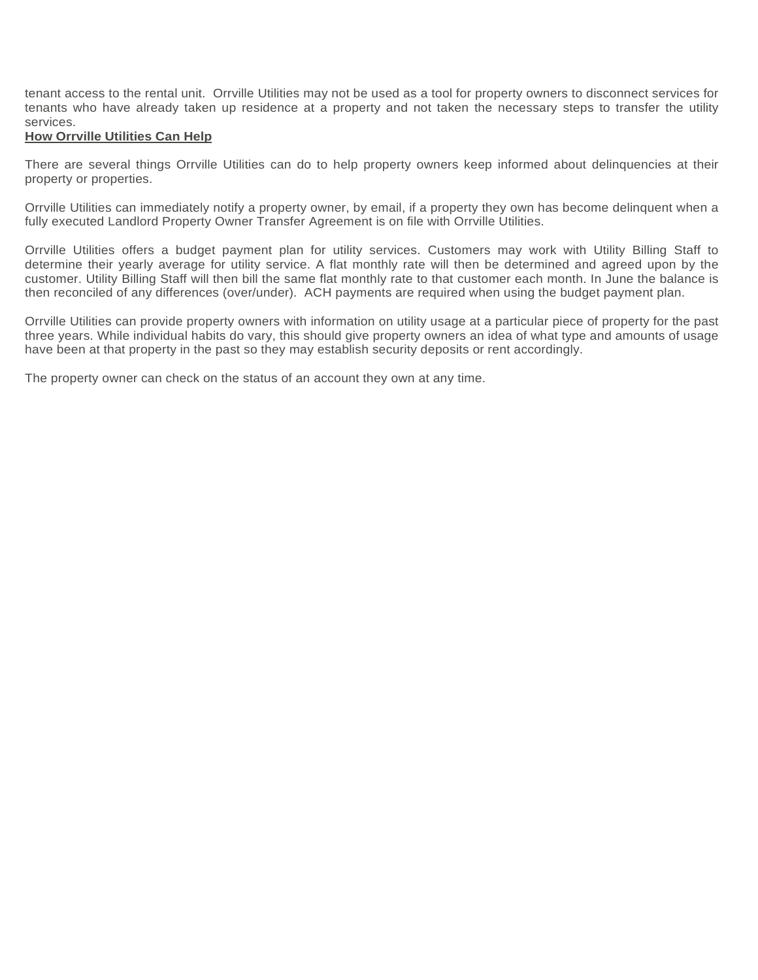tenant access to the rental unit. Orrville Utilities may not be used as a tool for property owners to disconnect services for tenants who have already taken up residence at a property and not taken the necessary steps to transfer the utility services.

## **How Orrville Utilities Can Help**

There are several things Orrville Utilities can do to help property owners keep informed about delinquencies at their property or properties.

Orrville Utilities can immediately notify a property owner, by email, if a property they own has become delinquent when a fully executed Landlord Property Owner Transfer Agreement is on file with Orrville Utilities.

Orrville Utilities offers a budget payment plan for utility services. Customers may work with Utility Billing Staff to determine their yearly average for utility service. A flat monthly rate will then be determined and agreed upon by the customer. Utility Billing Staff will then bill the same flat monthly rate to that customer each month. In June the balance is then reconciled of any differences (over/under). ACH payments are required when using the budget payment plan.

Orrville Utilities can provide property owners with information on utility usage at a particular piece of property for the past three years. While individual habits do vary, this should give property owners an idea of what type and amounts of usage have been at that property in the past so they may establish security deposits or rent accordingly.

The property owner can check on the status of an account they own at any time.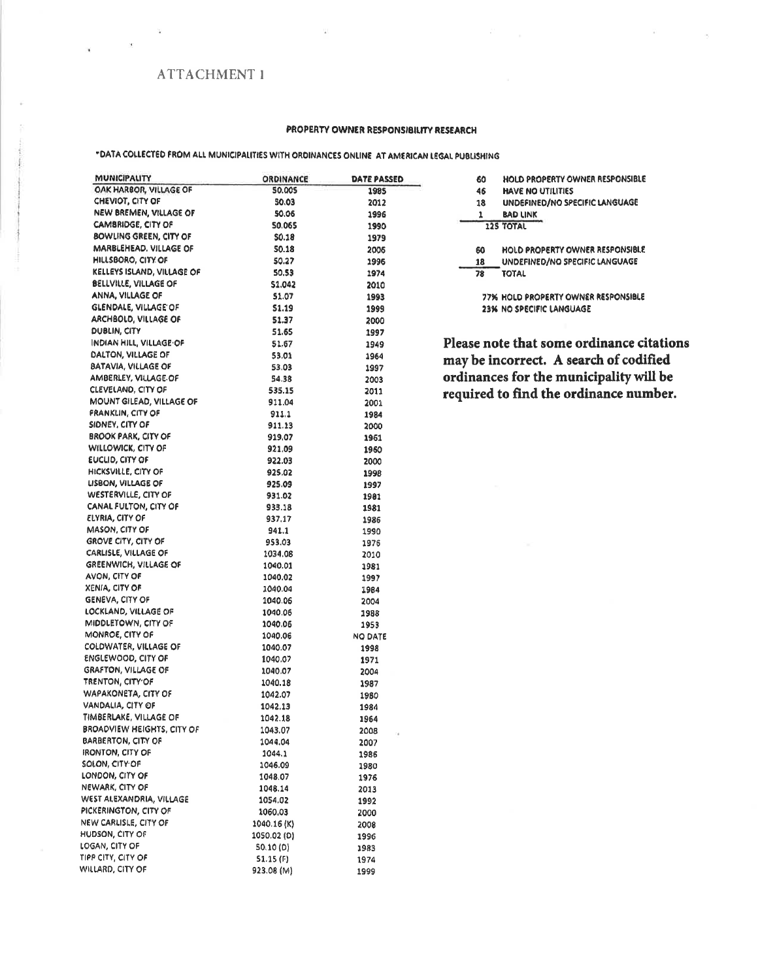## **ATTACHMENT 1**

#### PROPERTY OWNER RESPONSIBILITY RESEARCH

## "DATA COLLECTED FROM ALL MUNICIPALITIES WITH ORDINANCES ONLINE AT AMERICAN LEGAL PUBLISHING

| MUNICIPALITY                   | ORDINANCE    | DATE PASSED        |
|--------------------------------|--------------|--------------------|
| OAK HARBOR, VILLAGE OF         | 50.005       | 1985               |
| CHEVIOT, CITY OF               | 50.03        | 2012               |
| NEW BREMEN, VILLAGE OF         | 50.06        | 1996               |
| CAMBRIDGE, CITY OF             | 50.065       | 1990               |
| BOWLING GREEN, CITY OF         | <b>SO.18</b> | 1979               |
| MARBLEHEAD. VILLAGE OF         | 50.18        | 2005               |
| HILLSBORO, CITY OF             | 50.27        | 1996               |
| KELLEYS ISLAND, VILLAGE OF     | 50.53        | 1974               |
| BELLVILLE, VILLAGE OF          | \$1.042      | 2010               |
| ANNA, VILLAGE OF               | 51.07        | 1993               |
| GLENDALE, VILLAGE OF           | 51.19        | 1999               |
| ARCHBOLD, VILLAGE OF           | 51.37        | 2000               |
| <b>DUBLIN, CITY</b>            | 51.65        | 1997               |
| <b>INDIAN HILL, VILLAGE OF</b> | 51.67        | 1949               |
| DALTON, VILLAGE OF             | 53.01        | 1964               |
| BATAVIA, VILLAGE OF            | 53.03        | 1997               |
| AMBERLEY, VILLAGE OF           | 54.38        | 2003               |
| CLEVELAND, CITY OF             | 535.15       | 2011               |
| MOUNT GILEAD, VILLAGE OF       | 911.04       | 2001               |
| <b>FRANKLIN, CITY OF</b>       | 911.1        | 1984               |
| SIDNEY, CITY OF                | 911.13       | 2000               |
| BROOK PARK, CITY OF            | 919.07       | 1961               |
| WILLOWICK, CITY OF             | 921.09       | 1960               |
| EUCLID, CITY OF                | 922.03       | 2000               |
| HICKSVILLE, CITY OF            | 925.02       | 1998               |
| LISBON, VILLAGE OF             | 925.09       | 1997               |
| WESTERVILLE, CITY OF           | 931.02       | 1981               |
| CANAL FULTON, CITY OF          | 933.18       | 1981               |
| ELYRIA, CITY OF                | 937,17       | 1986               |
| MASON, CITY OF                 | 941.1        | 1990               |
| <b>GROVE CITY, CITY OF</b>     | 953.03       | 1976               |
| CARLISLE, VILLAGE OF           | 1034.08      | 2010               |
| GREENWICH, VILLAGE OF          | 1040.01      | 1981               |
| AVON, CITY OF                  | 1040.02      | 1997               |
| XENIA, CITY OF                 | 1040.04      | 1984               |
| GENEVA, CITY OF                | 1040.06      | 2004               |
| LOCKLAND, VILLAGE OF           | 1040.06      | 1988               |
| MIDDLETOWN, CITY OF            | 1040.06      | 1953               |
| MONROE, CITY OF                | 1040.06      | NO DATE            |
| COLDWATER, VILLAGE OF          | 1040.07      | 1998               |
| <b>ENGLEWOOD, CITY OF</b>      | 1040.07      | 1971               |
| <b>GRAFTON, VILLAGE OF</b>     | 1040.07      | 2004               |
| TRENTON, CITY OF               | 1040.18      | 1987               |
| WAPAKONETA, CITY OF            | 1042.07      | 1980               |
| VANDALIA, CITY OF              | 1042.13      | 1984               |
| TIMBERLAKE, VILLAGE OF         | 1042.18      | 1964               |
| BROADVIEW HEIGHTS, CITY OF     | 1043.07      | 2008<br>$\epsilon$ |
| <b>BARBERTON, CITY OF</b>      | 1044.04      | 2007               |
| <b>IRONTON, CITY OF</b>        | 1044.1       | 1986               |
| SOLON, CITY OF                 | 1046.09      | 1980               |
| LONDON, CITY OF                | 1048.07      | 1976               |
| NEWARK, CITY OF                | 1048.14      | 2013               |
| WEST ALEXANDRIA, VILLAGE       | 1054.02      | 1992               |
| PICKERINGTON, CITY OF          | 1060.03      | 2000               |
| NEW CARLISLE, CITY OF          | 1040.16(K)   | 2008               |
| HUDSON, CITY OF                | 1050.02 (D)  | 1996               |
| LOGAN, CITY OF                 | 50.10(D)     | 1983               |
| TIPP CITY, CITY OF             | 51.15 (F)    | 1974               |
| WILLARD, CITY OF               | 923.08 (M)   | 1999               |

| 60 | HOLD PROPERTY OWNER RESPONSIBLE |
|----|---------------------------------|
| 46 | <b>HAVE NO UTILITIES</b>        |
| 18 | UNDEFINED/NO SPECIFIC LANGUAGE  |
| 1  | <b>BAD LINK</b>                 |
|    | 12S TOTAL                       |
|    |                                 |
| 60 | HOLD PROPERTY OWNER RESPONSIBLE |
| 18 | UNDEFINED/NO SPECIFIC LANGUAGE  |
| 78 | <b>TOTAL</b>                    |
|    |                                 |

77% HOLD PROPERTY OWNER RESPONSIBLE 23% NO SPECIFIC LANGUAGE

Please note that some ordinance citations may be incorrect. A search of codified ordinances for the municipality will be<br>required to find the ordinance number.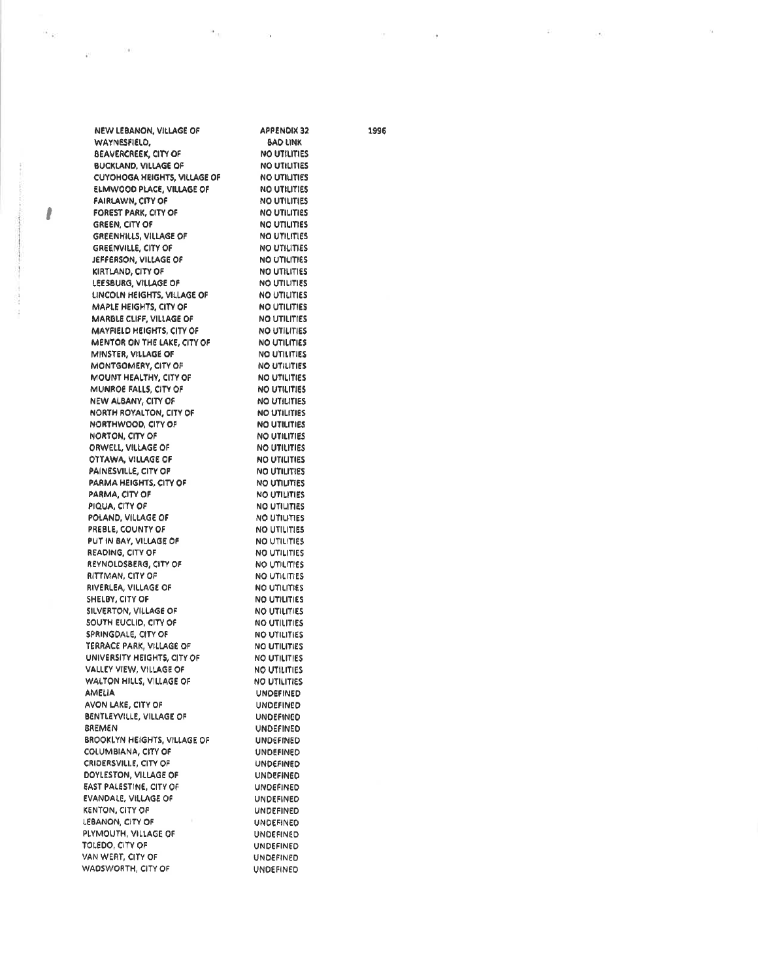| NEW LEBANON, VILLAGE OF                    | APPENDIX 32                         |
|--------------------------------------------|-------------------------------------|
| WAYNESFIELD,                               | <b>BAD LINK</b>                     |
| <b>BEAVERCREEK, CITY OF</b>                | <b>NO UTILITIES</b>                 |
| <b>BUCKLAND, VILLAGE OF</b>                | <b>NO UTILITIES</b>                 |
| <b>CUYOHOGA HEIGHTS, VILLAGE OF</b>        | <b>NO UTILITIES</b>                 |
| ELMWOOD PLACE, VILLAGE OF                  | NO UTILITIES                        |
| <b>FAIRLAWN, CITY OF</b>                   | <b>NO UTILITIES</b>                 |
| FOREST PARK, CITY OF                       | <b>NO UTILITIES</b>                 |
| GREEN, CITY OF                             | NO UTILITIES                        |
| GREENHILLS, VILLAGE OF                     | NO UTILITIES                        |
| <b>GREENVILLE, CITY OF</b>                 | <b>NO UTILITIES</b>                 |
| JEFFERSON, VILLAGE OF                      | <b>NO UTILITIES</b>                 |
| KIRTLAND, CITY OF                          | NO UTILITIES                        |
| LEESBURG, VILLAGE OF                       | <b>NO UTILITIES</b>                 |
| LINCOLN HEIGHTS, VILLAGE OF                | NO UTILITIES                        |
| MAPLE HEIGHTS, CITY OF                     | NO UTILITIES                        |
| MARBLE CLIFF, VILLAGE OF                   | NO UTILITIES                        |
| <b>MAYFIELD HEIGHTS, CITY OF</b>           | <b>NO UTILITIES</b>                 |
| MENTOR ON THE LAKE, CITY OF                | NO UTILITIES                        |
| MINSTER, VILLAGE OF                        | NO UTILITIES                        |
| MONTGOMERY, CITY OF                        | NO UTILITIES                        |
| MOUNT HEALTHY, CITY OF                     | NO UTILITIES                        |
| MUNROE FALLS, CITY OF                      | <b>NO UTILITIES</b>                 |
| NEW ALBANY, CITY OF                        | NO UTILITIES                        |
| NORTH ROYALTON, CITY OF                    | NO UTILITIES                        |
| NORTHWOOD, CITY OF                         | <b>NO UTILITIES</b>                 |
| NORTON, CITY OF                            | <b>NO UTILITIES</b>                 |
| ORWELL, VILLAGE OF                         | NO UTILITIES<br><b>NO UTILITIES</b> |
| OTTAWA, VILLAGE OF<br>PAINESVILLE, CITY OF | NO UTILITIES                        |
| PARMA HEIGHTS, CITY OF                     | NO UTILITIES                        |
| PARMA, CITY OF                             | NO UTILITIES                        |
| PIQUA, CITY OF                             | <b>NO UTILITIES</b>                 |
| POLAND, VILLAGE OF                         | <b>NO UTILITIES</b>                 |
| PREBLE, COUNTY OF                          | NO UTILITIES                        |
| PUT IN BAY, VILLAGE OF                     | <b>NO UTILITIES</b>                 |
| READING, CITY OF                           | <b>NO UTILITIES</b>                 |
| REYNOLDSBERG, CITY OF                      | NO UTILITIES                        |
| RITTMAN, CITY OF                           | NO UTILITIES                        |
| RIVERLEA, VILLAGE OF                       | NO UTILITIES                        |
| SHELBY, CITY OF                            | <b>NO UTILITIES</b>                 |
| SILVERTON, VILLAGE OF                      | <b>NO UTILITIES</b>                 |
| SOUTH EUCLID, CITY OF                      | NO UTILITIES                        |
| SPRINGDALE, CITY OF                        | <b>NO UTILITIES</b>                 |
| TERRACE PARK, VILLAGE OF                   | <b>NO UTILITIES</b>                 |
| UNIVERSITY HEIGHTS, CITY OF                | NO UTILITIES                        |
| VALLEY VIEW, VILLAGE OF                    | <b>NO UTILITIES</b>                 |
| WALTON HILLS, VILLAGE OF                   | NO UTILITIES                        |
| AMELIA                                     | <b>UNDEFINED</b>                    |
| AVON LAKE, CITY OF                         | <b>UNDEFINED</b>                    |
| BENTLEYVILLE, VILLAGE OF                   | <b>UNDEFINED</b>                    |
| <b>BREMEN</b>                              | <b>UNDEFINED</b>                    |
| <b>BROOKLYN HEIGHTS, VILLAGE OF</b>        | <b>UNDEFINED</b>                    |
| COLUMBIANA, CITY OF                        | UNDEFINED                           |
| CRIDERSVILLE, CITY OF                      | <b>UNDEFINED</b>                    |
| DOYLESTON, VILLAGE OF                      | <b>UNDEFINED</b>                    |
| EAST PALESTINE, CITY OF                    | UNDEFINED                           |
| EVANDALE, VILLAGE OF                       | UNDEFINED                           |
| KENTON, CITY OF                            | <b>UNDEFINED</b>                    |
| LEBANON, CITY OF                           | <b>UNDEFINED</b>                    |
| PLYMOUTH, VILLAGE OF                       | UNDEFINED                           |
| TOLEDO, CITY OF                            | UNDEFINED                           |
| VAN WERT, CITY OF                          | UNDEFINED                           |
| WADSWORTH, CITY OF                         | UNDEFINED                           |

 $\alpha_{_{[13]}}$ 

 $\sim$  10

 $\mathbf{u}_{(k)}$ 

 $\mathbf{r}$ 

i<br>S

S

 $1000$ 

 $\hat{\mathbf{e}}^{\mathrm{c}}$ 

1996

 $\sim 10$ 

 $\widetilde{\ast}$ 

 $\mathcal{A}$ 

X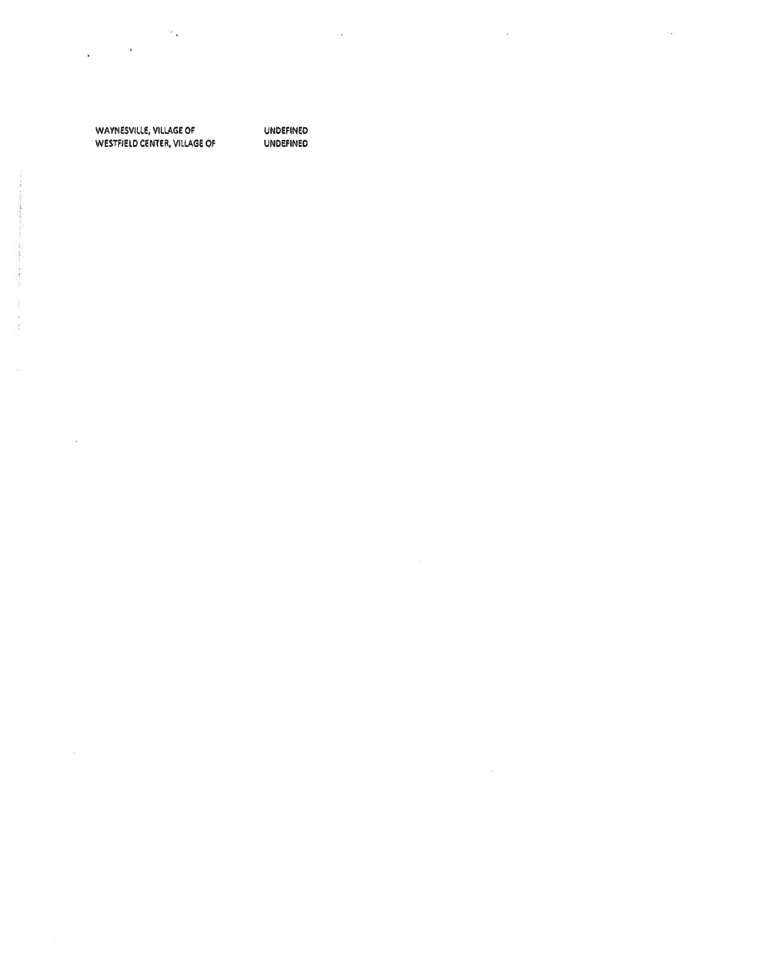WAYNESVILLE, VILLAGE OF WESTFIELD CENTER, VILLAGE OF

 $\sim$ 

UNDEFINED **UNDEFINED**